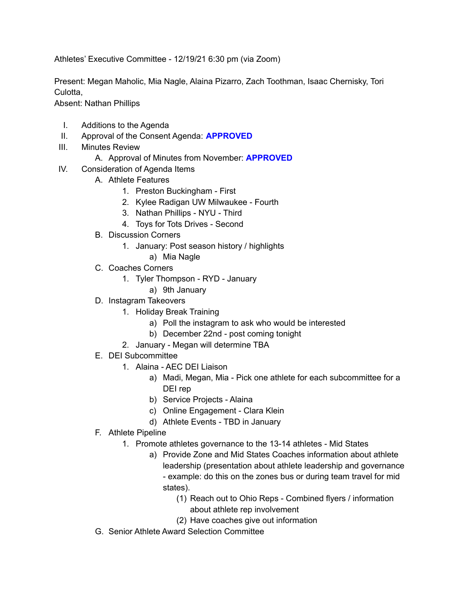Athletes' Executive Committee - 12/19/21 6:30 pm (via Zoom)

Present: Megan Maholic, Mia Nagle, Alaina Pizarro, Zach Toothman, Isaac Chernisky, Tori Culotta,

Absent: Nathan Phillips

- I. Additions to the Agenda
- II. Approval of the Consent Agenda: **APPROVED**
- III. Minutes Review
	- A. Approval of Minutes from November: **APPROVED**
- IV. Consideration of Agenda Items
	- A. Athlete Features
		- 1. Preston Buckingham First
		- 2. Kylee Radigan UW Milwaukee Fourth
		- 3. Nathan Phillips NYU Third
		- 4. Toys for Tots Drives Second
	- B. Discussion Corners
		- 1. January: Post season history / highlights
			- a) Mia Nagle
	- C. Coaches Corners
		- 1. Tyler Thompson RYD January
			- a) 9th January
	- D. Instagram Takeovers
		- 1. Holiday Break Training
			- a) Poll the instagram to ask who would be interested
			- b) December 22nd post coming tonight
		- 2. January Megan will determine TBA
	- E. DEI Subcommittee
		- 1. Alaina AEC DEI Liaison
			- a) Madi, Megan, Mia Pick one athlete for each subcommittee for a DEI rep
			- b) Service Projects Alaina
			- c) Online Engagement Clara Klein
			- d) Athlete Events TBD in January
	- F. Athlete Pipeline
		- 1. Promote athletes governance to the 13-14 athletes Mid States
			- a) Provide Zone and Mid States Coaches information about athlete leadership (presentation about athlete leadership and governance - example: do this on the zones bus or during team travel for mid states).
				- (1) Reach out to Ohio Reps Combined flyers / information about athlete rep involvement
				- (2) Have coaches give out information
	- G. Senior Athlete Award Selection Committee